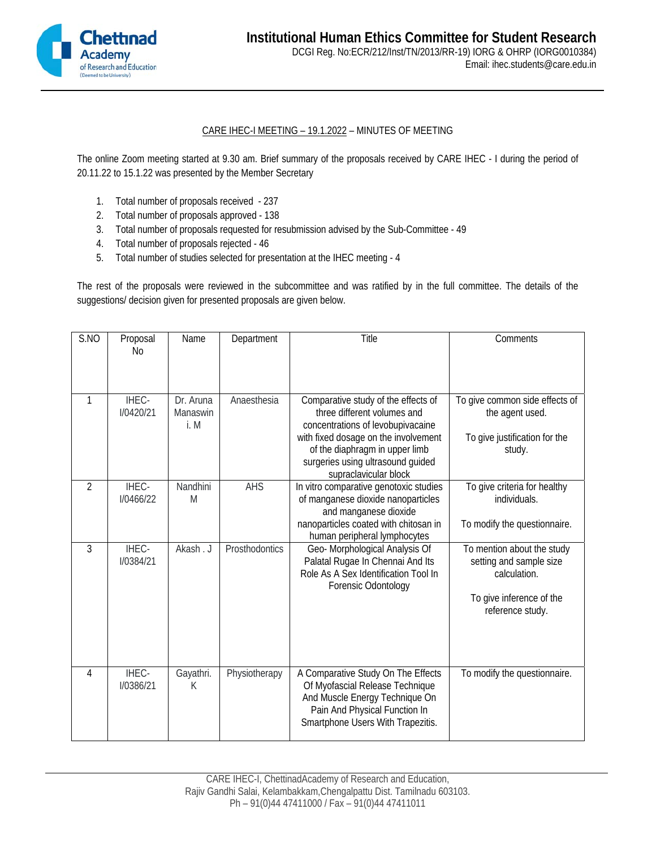

## CARE IHEC-I MEETING – 19.1.2022 – MINUTES OF MEETING

The online Zoom meeting started at 9.30 am. Brief summary of the proposals received by CARE IHEC - I during the period of 20.11.22 to 15.1.22 was presented by the Member Secretary

- 1. Total number of proposals received 237
- 2. Total number of proposals approved 138
- 3. Total number of proposals requested for resubmission advised by the Sub-Committee 49
- 4. Total number of proposals rejected 46
- 5. Total number of studies selected for presentation at the IHEC meeting 4

The rest of the proposals were reviewed in the subcommittee and was ratified by in the full committee. The details of the suggestions/ decision given for presented proposals are given below.

| S.NO           | Proposal<br>N <sub>0</sub> | Name                          | Department     | Title                                                                                                                                                                                                                                           | Comments                                                                                                              |
|----------------|----------------------------|-------------------------------|----------------|-------------------------------------------------------------------------------------------------------------------------------------------------------------------------------------------------------------------------------------------------|-----------------------------------------------------------------------------------------------------------------------|
| $\mathbf{1}$   | IHEC-<br><b>I/0420/21</b>  | Dr. Aruna<br>Manaswin<br>i. M | Anaesthesia    | Comparative study of the effects of<br>three different volumes and<br>concentrations of levobupivacaine<br>with fixed dosage on the involvement<br>of the diaphragm in upper limb<br>surgeries using ultrasound guided<br>supraclavicular block | To give common side effects of<br>the agent used.<br>To give justification for the<br>study.                          |
| $\overline{2}$ | IHEC-<br><b>I/0466/22</b>  | Nandhini<br>M                 | <b>AHS</b>     | In vitro comparative genotoxic studies<br>of manganese dioxide nanoparticles<br>and manganese dioxide<br>nanoparticles coated with chitosan in<br>human peripheral lymphocytes                                                                  | To give criteria for healthy<br>individuals.<br>To modify the questionnaire.                                          |
| 3              | IHEC-<br><b>I/0384/21</b>  | Akash. J                      | Prosthodontics | Geo- Morphological Analysis Of<br>Palatal Rugae In Chennai And Its<br>Role As A Sex Identification Tool In<br>Forensic Odontology                                                                                                               | To mention about the study<br>setting and sample size<br>calculation.<br>To give inference of the<br>reference study. |
| 4              | IHEC-<br><b>I/0386/21</b>  | Gayathri.<br>K                | Physiotherapy  | A Comparative Study On The Effects<br>Of Myofascial Release Technique<br>And Muscle Energy Technique On<br>Pain And Physical Function In<br>Smartphone Users With Trapezitis.                                                                   | To modify the questionnaire.                                                                                          |